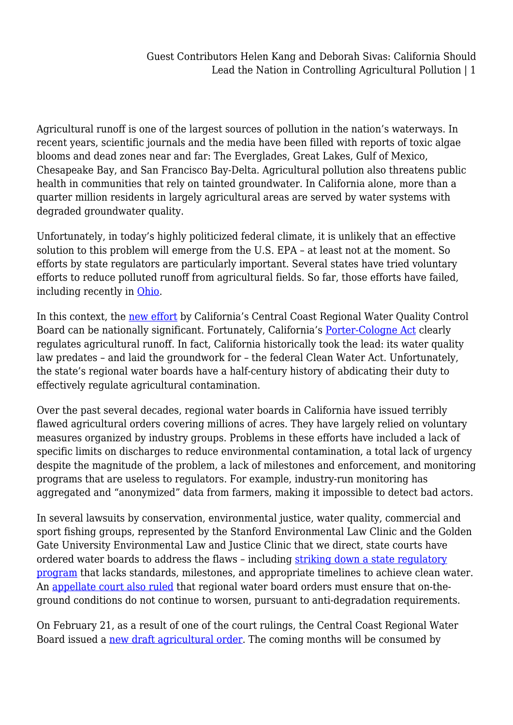Agricultural runoff is one of the largest sources of pollution in the nation's waterways. In recent years, scientific journals and the media have been filled with reports of toxic algae blooms and dead zones near and far: The Everglades, Great Lakes, Gulf of Mexico, Chesapeake Bay, and San Francisco Bay-Delta. Agricultural pollution also threatens public health in communities that rely on tainted groundwater. In California alone, more than a quarter million residents in largely agricultural areas are served by water systems with degraded groundwater quality.

Unfortunately, in today's highly politicized federal climate, it is unlikely that an effective solution to this problem will emerge from the U.S. EPA – at least not at the moment. So efforts by state regulators are particularly important. Several states have tried voluntary efforts to reduce polluted runoff from agricultural fields. So far, those efforts have failed, including recently in [Ohio.](https://grist.org/food/ohio-officials-know-how-to-stop-lake-erie-from-turning-toxic-but-no-one-will-do-it/)

In this context, the [new effort](https://www.waterboards.ca.gov/centralcoast/water_issues/programs/ag_waivers/ag_order4_renewal.html) by California's Central Coast Regional Water Quality Control Board can be nationally significant. Fortunately, California's [Porter-Cologne Act](https://www.waterboards.ca.gov/laws_regulations/docs/portercologne.pdf) clearly regulates agricultural runoff. In fact, California historically took the lead: its water quality law predates – and laid the groundwork for – the federal Clean Water Act. Unfortunately, the state's regional water boards have a half-century history of abdicating their duty to effectively regulate agricultural contamination.

Over the past several decades, regional water boards in California have issued terribly flawed agricultural orders covering millions of acres. They have largely relied on voluntary measures organized by industry groups. Problems in these efforts have included a lack of specific limits on discharges to reduce environmental contamination, a total lack of urgency despite the magnitude of the problem, a lack of milestones and enforcement, and monitoring programs that are useless to regulators. For example, industry-run monitoring has aggregated and "anonymized" data from farmers, making it impossible to detect bad actors.

In several lawsuits by conservation, environmental justice, water quality, commercial and sport fishing groups, represented by the Stanford Environmental Law Clinic and the Golden Gate University Environmental Law and Justice Clinic that we direct, state courts have ordered water boards to address the flaws - including [striking down a state regulatory](https://www.waterlawsymposium.org/uploads/1/1/2/2/112217751/monterey_coastkeeper_v._state_water_resources_control_bd._28_cal.app.5th_342__2018_.pdf) [program](https://www.waterlawsymposium.org/uploads/1/1/2/2/112217751/monterey_coastkeeper_v._state_water_resources_control_bd._28_cal.app.5th_342__2018_.pdf) that lacks standards, milestones, and appropriate timelines to achieve clean water. An [appellate court also ruled](https://caselaw.findlaw.com/ca-court-of-appeal/1613951.html) that regional water board orders must ensure that on-theground conditions do not continue to worsen, pursuant to anti-degradation requirements.

On February 21, as a result of one of the court rulings, the Central Coast Regional Water Board issued a [new draft agricultural order.](https://www.waterboards.ca.gov/centralcoast/water_issues/programs/ag_waivers/docs/ag_order4_renewal/2020feb/dao.pdf) The coming months will be consumed by